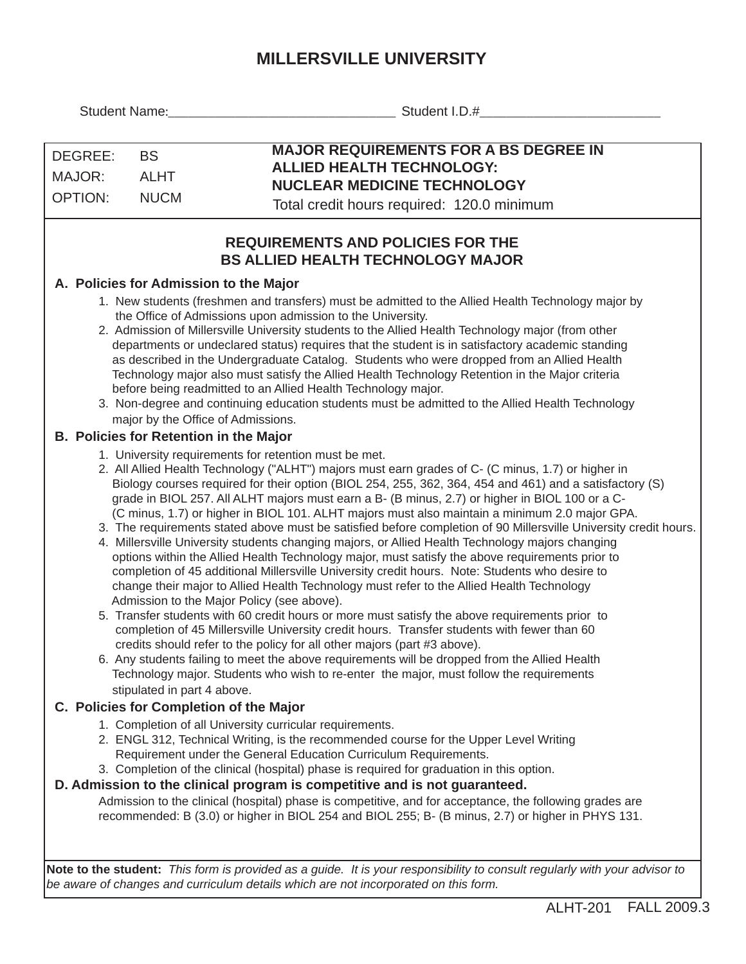## **MILLERSVILLE UNIVERSITY**

| Student Name:                                                                                                                                                                                                                                                                                                                                                                                                                                                                                                                                                                                                                                                                                                                                                                                                                                                                                                                                                                                                                                                                                                                                                                                                                                                                                                                                                                                                                                                                                                                                                                                                                                                                                                                                                                                                                                                                                                                                                                                                                                                                                                                                                                                                                                                                                                                                                                                                                                                                                                                                                                                                                                                                                                                                                                                                                                                                                                                                                                                                                                                                                                                                             | Student I.D.#                                                                                                                                                                                                    |  |  |  |  |  |  |
|-----------------------------------------------------------------------------------------------------------------------------------------------------------------------------------------------------------------------------------------------------------------------------------------------------------------------------------------------------------------------------------------------------------------------------------------------------------------------------------------------------------------------------------------------------------------------------------------------------------------------------------------------------------------------------------------------------------------------------------------------------------------------------------------------------------------------------------------------------------------------------------------------------------------------------------------------------------------------------------------------------------------------------------------------------------------------------------------------------------------------------------------------------------------------------------------------------------------------------------------------------------------------------------------------------------------------------------------------------------------------------------------------------------------------------------------------------------------------------------------------------------------------------------------------------------------------------------------------------------------------------------------------------------------------------------------------------------------------------------------------------------------------------------------------------------------------------------------------------------------------------------------------------------------------------------------------------------------------------------------------------------------------------------------------------------------------------------------------------------------------------------------------------------------------------------------------------------------------------------------------------------------------------------------------------------------------------------------------------------------------------------------------------------------------------------------------------------------------------------------------------------------------------------------------------------------------------------------------------------------------------------------------------------------------------------------------------------------------------------------------------------------------------------------------------------------------------------------------------------------------------------------------------------------------------------------------------------------------------------------------------------------------------------------------------------------------------------------------------------------------------------------------------------|------------------------------------------------------------------------------------------------------------------------------------------------------------------------------------------------------------------|--|--|--|--|--|--|
| DEGREE:<br><b>BS</b><br>MAJOR:<br><b>ALHT</b><br><b>OPTION:</b><br><b>NUCM</b>                                                                                                                                                                                                                                                                                                                                                                                                                                                                                                                                                                                                                                                                                                                                                                                                                                                                                                                                                                                                                                                                                                                                                                                                                                                                                                                                                                                                                                                                                                                                                                                                                                                                                                                                                                                                                                                                                                                                                                                                                                                                                                                                                                                                                                                                                                                                                                                                                                                                                                                                                                                                                                                                                                                                                                                                                                                                                                                                                                                                                                                                            | <b>MAJOR REQUIREMENTS FOR A BS DEGREE IN</b><br><b>ALLIED HEALTH TECHNOLOGY:</b><br><b>NUCLEAR MEDICINE TECHNOLOGY</b><br>Total credit hours required: 120.0 minimum<br><b>REQUIREMENTS AND POLICIES FOR THE</b> |  |  |  |  |  |  |
| <b>BS ALLIED HEALTH TECHNOLOGY MAJOR</b><br>A. Policies for Admission to the Major<br>1. New students (freshmen and transfers) must be admitted to the Allied Health Technology major by<br>the Office of Admissions upon admission to the University.<br>2. Admission of Millersville University students to the Allied Health Technology major (from other<br>departments or undeclared status) requires that the student is in satisfactory academic standing<br>as described in the Undergraduate Catalog. Students who were dropped from an Allied Health<br>Technology major also must satisfy the Allied Health Technology Retention in the Major criteria<br>before being readmitted to an Allied Health Technology major.<br>3. Non-degree and continuing education students must be admitted to the Allied Health Technology<br>major by the Office of Admissions.<br><b>B. Policies for Retention in the Major</b><br>1. University requirements for retention must be met.<br>2. All Allied Health Technology ("ALHT") majors must earn grades of C- (C minus, 1.7) or higher in<br>Biology courses required for their option (BIOL 254, 255, 362, 364, 454 and 461) and a satisfactory (S)<br>grade in BIOL 257. All ALHT majors must earn a B- (B minus, 2.7) or higher in BIOL 100 or a C-<br>(C minus, 1.7) or higher in BIOL 101. ALHT majors must also maintain a minimum 2.0 major GPA.<br>3. The requirements stated above must be satisfied before completion of 90 Millersville University credit hours.<br>4. Millersville University students changing majors, or Allied Health Technology majors changing<br>options within the Allied Health Technology major, must satisfy the above requirements prior to<br>completion of 45 additional Millersville University credit hours. Note: Students who desire to<br>change their major to Allied Health Technology must refer to the Allied Health Technology<br>Admission to the Major Policy (see above).<br>5. Transfer students with 60 credit hours or more must satisfy the above requirements prior to<br>completion of 45 Millersville University credit hours. Transfer students with fewer than 60<br>credits should refer to the policy for all other majors (part #3 above).<br>6. Any students failing to meet the above requirements will be dropped from the Allied Health<br>Technology major. Students who wish to re-enter the major, must follow the requirements<br>stipulated in part 4 above.<br>C. Policies for Completion of the Major<br>1. Completion of all University curricular requirements.<br>2. ENGL 312, Technical Writing, is the recommended course for the Upper Level Writing<br>Requirement under the General Education Curriculum Requirements.<br>3. Completion of the clinical (hospital) phase is required for graduation in this option.<br>D. Admission to the clinical program is competitive and is not guaranteed.<br>Admission to the clinical (hospital) phase is competitive, and for acceptance, the following grades are<br>recommended: B (3.0) or higher in BIOL 254 and BIOL 255; B- (B minus, 2.7) or higher in PHYS 131. |                                                                                                                                                                                                                  |  |  |  |  |  |  |
|                                                                                                                                                                                                                                                                                                                                                                                                                                                                                                                                                                                                                                                                                                                                                                                                                                                                                                                                                                                                                                                                                                                                                                                                                                                                                                                                                                                                                                                                                                                                                                                                                                                                                                                                                                                                                                                                                                                                                                                                                                                                                                                                                                                                                                                                                                                                                                                                                                                                                                                                                                                                                                                                                                                                                                                                                                                                                                                                                                                                                                                                                                                                                           |                                                                                                                                                                                                                  |  |  |  |  |  |  |

**Note to the student:** *This form is provided as a guide. It is your responsibility to consult regularly with your advisor to be aware of changes and curriculum details which are not incorporated on this form.*